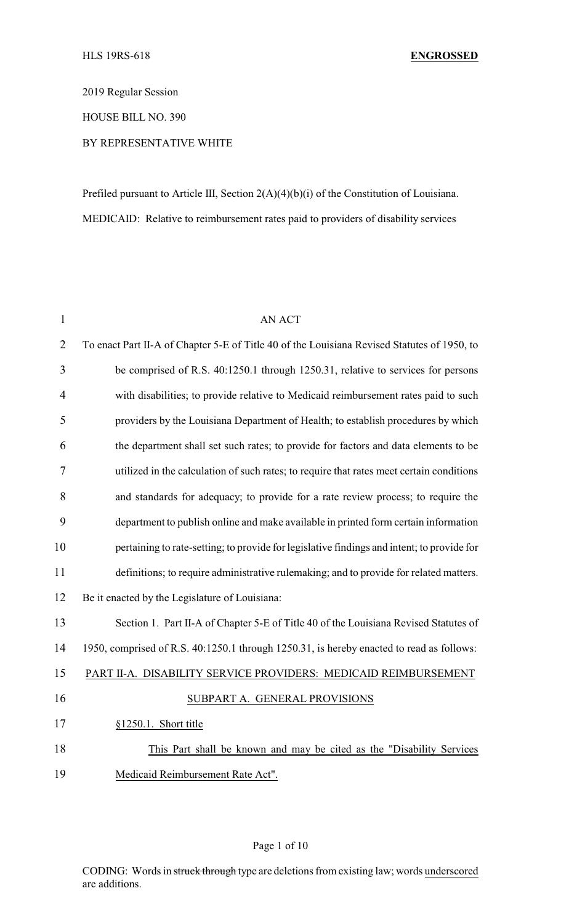2019 Regular Session

HOUSE BILL NO. 390

# BY REPRESENTATIVE WHITE

Prefiled pursuant to Article III, Section 2(A)(4)(b)(i) of the Constitution of Louisiana. MEDICAID: Relative to reimbursement rates paid to providers of disability services

| 1              | <b>AN ACT</b>                                                                               |  |  |
|----------------|---------------------------------------------------------------------------------------------|--|--|
| $\overline{2}$ | To enact Part II-A of Chapter 5-E of Title 40 of the Louisiana Revised Statutes of 1950, to |  |  |
| 3              | be comprised of R.S. 40:1250.1 through 1250.31, relative to services for persons            |  |  |
| $\overline{4}$ | with disabilities; to provide relative to Medicaid reimbursement rates paid to such         |  |  |
| 5              | providers by the Louisiana Department of Health; to establish procedures by which           |  |  |
| 6              | the department shall set such rates; to provide for factors and data elements to be         |  |  |
| 7              | utilized in the calculation of such rates; to require that rates meet certain conditions    |  |  |
| 8              | and standards for adequacy; to provide for a rate review process; to require the            |  |  |
| 9              | department to publish online and make available in printed form certain information         |  |  |
| 10             | pertaining to rate-setting; to provide for legislative findings and intent; to provide for  |  |  |
| 11             | definitions; to require administrative rulemaking; and to provide for related matters.      |  |  |
| 12             | Be it enacted by the Legislature of Louisiana:                                              |  |  |
| 13             | Section 1. Part II-A of Chapter 5-E of Title 40 of the Louisiana Revised Statutes of        |  |  |
| 14             | 1950, comprised of R.S. 40:1250.1 through 1250.31, is hereby enacted to read as follows:    |  |  |
| 15             | PART II-A. DISABILITY SERVICE PROVIDERS: MEDICAID REIMBURSEMENT                             |  |  |
| 16             | SUBPART A. GENERAL PROVISIONS                                                               |  |  |
| 17             | §1250.1. Short title                                                                        |  |  |
| 18             | This Part shall be known and may be cited as the "Disability Services"                      |  |  |
| 19             | Medicaid Reimbursement Rate Act".                                                           |  |  |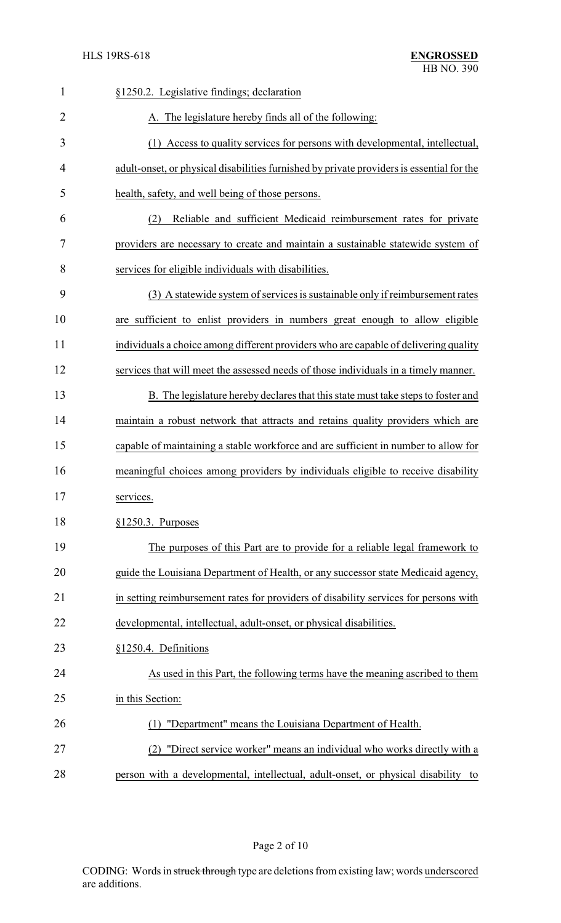| $\mathbf{1}$   | §1250.2. Legislative findings; declaration                                                |  |
|----------------|-------------------------------------------------------------------------------------------|--|
| $\overline{2}$ | A. The legislature hereby finds all of the following:                                     |  |
| 3              | (1) Access to quality services for persons with developmental, intellectual,              |  |
| 4              | adult-onset, or physical disabilities furnished by private providers is essential for the |  |
| 5              | health, safety, and well being of those persons.                                          |  |
| 6              | Reliable and sufficient Medicaid reimbursement rates for private<br>(2)                   |  |
| 7              | providers are necessary to create and maintain a sustainable statewide system of          |  |
| 8              | services for eligible individuals with disabilities.                                      |  |
| 9              | (3) A statewide system of services is sustainable only if reimbursement rates             |  |
| 10             | are sufficient to enlist providers in numbers great enough to allow eligible              |  |
| 11             | individuals a choice among different providers who are capable of delivering quality      |  |
| 12             | services that will meet the assessed needs of those individuals in a timely manner.       |  |
| 13             | B. The legislature hereby declares that this state must take steps to foster and          |  |
| 14             | maintain a robust network that attracts and retains quality providers which are           |  |
| 15             | capable of maintaining a stable workforce and are sufficient in number to allow for       |  |
| 16             | meaningful choices among providers by individuals eligible to receive disability          |  |
| 17             | services.                                                                                 |  |
| 18             | $§1250.3$ . Purposes                                                                      |  |
| 19             | The purposes of this Part are to provide for a reliable legal framework to                |  |
| 20             | guide the Louisiana Department of Health, or any successor state Medicaid agency,         |  |
| 21             | in setting reimbursement rates for providers of disability services for persons with      |  |
| 22             | developmental, intellectual, adult-onset, or physical disabilities.                       |  |
| 23             | §1250.4. Definitions                                                                      |  |
| 24             | As used in this Part, the following terms have the meaning ascribed to them               |  |
| 25             | in this Section:                                                                          |  |
| 26             | (1) "Department" means the Louisiana Department of Health.                                |  |
| 27             | "Direct service worker" means an individual who works directly with a<br>(2)              |  |
| 28             | person with a developmental, intellectual, adult-onset, or physical disability to         |  |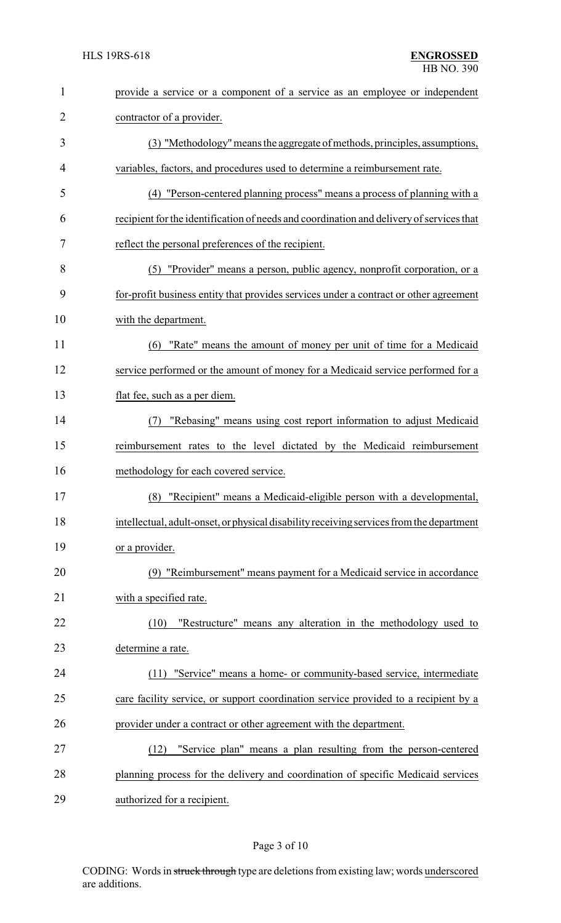| $\mathbf{1}$   | provide a service or a component of a service as an employee or independent              |  |  |
|----------------|------------------------------------------------------------------------------------------|--|--|
| $\overline{2}$ | contractor of a provider.                                                                |  |  |
| 3              | (3) "Methodology" means the aggregate of methods, principles, assumptions,               |  |  |
| 4              | variables, factors, and procedures used to determine a reimbursement rate.               |  |  |
| 5              | (4) "Person-centered planning process" means a process of planning with a                |  |  |
| 6              | recipient for the identification of needs and coordination and delivery of services that |  |  |
| 7              | reflect the personal preferences of the recipient.                                       |  |  |
| 8              | (5) "Provider" means a person, public agency, nonprofit corporation, or a                |  |  |
| 9              | for-profit business entity that provides services under a contract or other agreement    |  |  |
| 10             | with the department.                                                                     |  |  |
| 11             | "Rate" means the amount of money per unit of time for a Medicaid<br>(6)                  |  |  |
| 12             | service performed or the amount of money for a Medicaid service performed for a          |  |  |
| 13             | flat fee, such as a per diem.                                                            |  |  |
| 14             | "Rebasing" means using cost report information to adjust Medicaid<br>(7)                 |  |  |
| 15             | reimbursement rates to the level dictated by the Medicaid reimbursement                  |  |  |
| 16             | methodology for each covered service.                                                    |  |  |
| 17             | (8) "Recipient" means a Medicaid-eligible person with a developmental,                   |  |  |
| 18             | intellectual, adult-onset, or physical disability receiving services from the department |  |  |
| 19             | or a provider.                                                                           |  |  |
| 20             | (9) "Reimbursement" means payment for a Medicaid service in accordance                   |  |  |
| 21             | with a specified rate.                                                                   |  |  |
| 22             | "Restructure" means any alteration in the methodology used to<br>(10)                    |  |  |
| 23             | determine a rate.                                                                        |  |  |
| 24             | (11) "Service" means a home- or community-based service, intermediate                    |  |  |
| 25             | care facility service, or support coordination service provided to a recipient by a      |  |  |
| 26             | provider under a contract or other agreement with the department.                        |  |  |
| 27             | "Service plan" means a plan resulting from the person-centered<br>(12)                   |  |  |
| 28             | planning process for the delivery and coordination of specific Medicaid services         |  |  |
| 29             | authorized for a recipient.                                                              |  |  |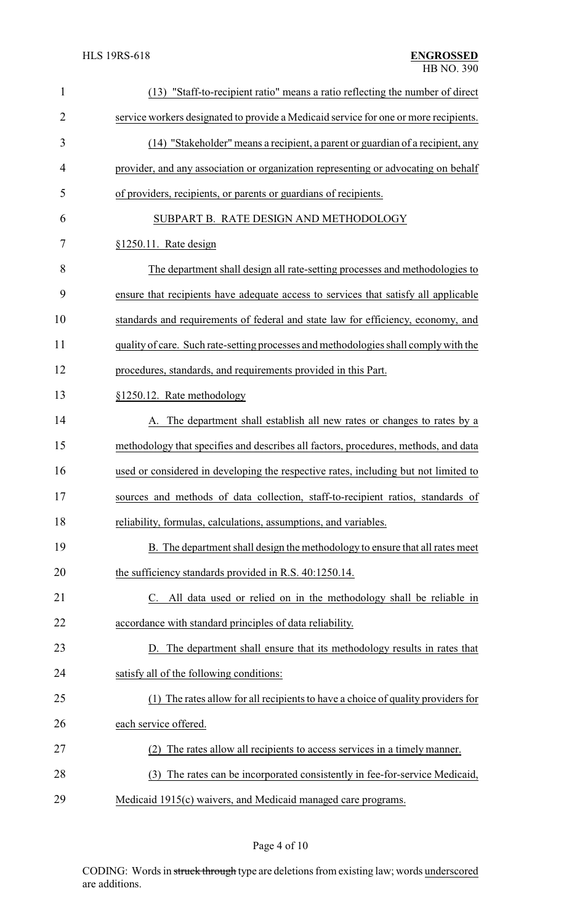| $\mathbf{1}$   | "Staff-to-recipient ratio" means a ratio reflecting the number of direct<br>(13)     |  |  |
|----------------|--------------------------------------------------------------------------------------|--|--|
| $\overline{2}$ | service workers designated to provide a Medicaid service for one or more recipients. |  |  |
| 3              | (14) "Stakeholder" means a recipient, a parent or guardian of a recipient, any       |  |  |
| $\overline{4}$ | provider, and any association or organization representing or advocating on behalf   |  |  |
| 5              | of providers, recipients, or parents or guardians of recipients.                     |  |  |
| 6              | SUBPART B. RATE DESIGN AND METHODOLOGY                                               |  |  |
| 7              | §1250.11. Rate design                                                                |  |  |
| 8              | The department shall design all rate-setting processes and methodologies to          |  |  |
| 9              | ensure that recipients have adequate access to services that satisfy all applicable  |  |  |
| 10             | standards and requirements of federal and state law for efficiency, economy, and     |  |  |
| 11             | quality of care. Such rate-setting processes and methodologies shall comply with the |  |  |
| 12             | procedures, standards, and requirements provided in this Part.                       |  |  |
| 13             | §1250.12. Rate methodology                                                           |  |  |
| 14             | A. The department shall establish all new rates or changes to rates by a             |  |  |
| 15             | methodology that specifies and describes all factors, procedures, methods, and data  |  |  |
| 16             | used or considered in developing the respective rates, including but not limited to  |  |  |
| 17             | sources and methods of data collection, staff-to-recipient ratios, standards of      |  |  |
| 18             | reliability, formulas, calculations, assumptions, and variables.                     |  |  |
| 19             | B. The department shall design the methodology to ensure that all rates meet         |  |  |
| 20             | the sufficiency standards provided in R.S. 40:1250.14.                               |  |  |
| 21             | C. All data used or relied on in the methodology shall be reliable in                |  |  |
| 22             | accordance with standard principles of data reliability.                             |  |  |
| 23             | D. The department shall ensure that its methodology results in rates that            |  |  |
| 24             | satisfy all of the following conditions:                                             |  |  |
| 25             | (1) The rates allow for all recipients to have a choice of quality providers for     |  |  |
| 26             | each service offered.                                                                |  |  |
| 27             | The rates allow all recipients to access services in a timely manner.                |  |  |
| 28             | The rates can be incorporated consistently in fee-for-service Medicaid,<br>(3)       |  |  |
| 29             | Medicaid 1915(c) waivers, and Medicaid managed care programs.                        |  |  |

Page 4 of 10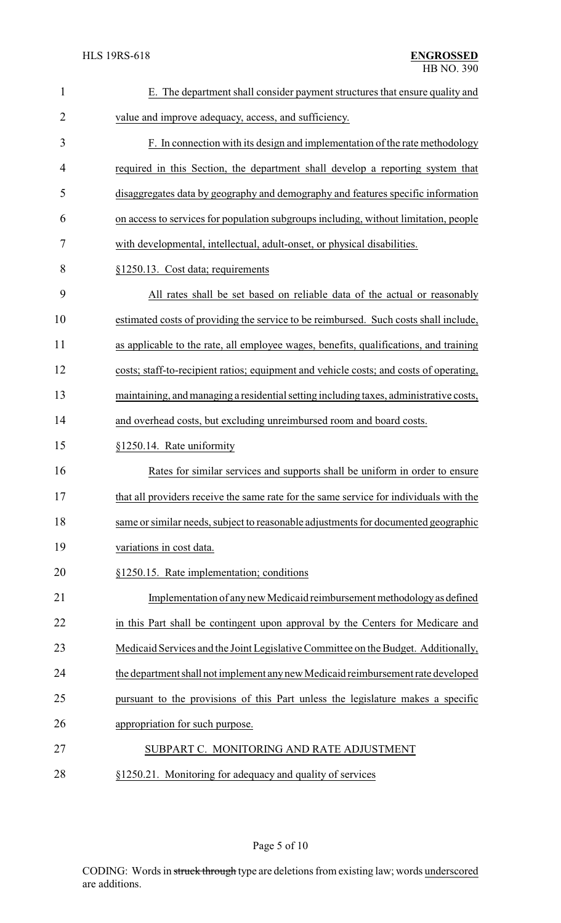| 1              | E. The department shall consider payment structures that ensure quality and            |  |  |
|----------------|----------------------------------------------------------------------------------------|--|--|
| $\overline{2}$ | value and improve adequacy, access, and sufficiency.                                   |  |  |
| 3              | F. In connection with its design and implementation of the rate methodology            |  |  |
| 4              | required in this Section, the department shall develop a reporting system that         |  |  |
| 5              | disaggregates data by geography and demography and features specific information       |  |  |
| 6              | on access to services for population subgroups including, without limitation, people   |  |  |
| 7              | with developmental, intellectual, adult-onset, or physical disabilities.               |  |  |
| 8              | §1250.13. Cost data; requirements                                                      |  |  |
| 9              | All rates shall be set based on reliable data of the actual or reasonably              |  |  |
| 10             | estimated costs of providing the service to be reimbursed. Such costs shall include,   |  |  |
| 11             | as applicable to the rate, all employee wages, benefits, qualifications, and training  |  |  |
| 12             | costs; staff-to-recipient ratios; equipment and vehicle costs; and costs of operating, |  |  |
| 13             | maintaining, and managing a residential setting including taxes, administrative costs, |  |  |
| 14             | and overhead costs, but excluding unreimbursed room and board costs.                   |  |  |
| 15             | §1250.14. Rate uniformity                                                              |  |  |
| 16             | Rates for similar services and supports shall be uniform in order to ensure            |  |  |
| 17             | that all providers receive the same rate for the same service for individuals with the |  |  |
| 18             | same or similar needs, subject to reasonable adjustments for documented geographic     |  |  |
| 19             | variations in cost data.                                                               |  |  |
| 20             | §1250.15. Rate implementation; conditions                                              |  |  |
| 21             | Implementation of any new Medicaid reimbursement methodology as defined                |  |  |
| 22             | in this Part shall be contingent upon approval by the Centers for Medicare and         |  |  |
| 23             | Medicaid Services and the Joint Legislative Committee on the Budget. Additionally,     |  |  |
| 24             | the department shall not implement any new Medicaid reimbursement rate developed       |  |  |
| 25             | pursuant to the provisions of this Part unless the legislature makes a specific        |  |  |
| 26             | appropriation for such purpose.                                                        |  |  |
| 27             | SUBPART C. MONITORING AND RATE ADJUSTMENT                                              |  |  |
|                |                                                                                        |  |  |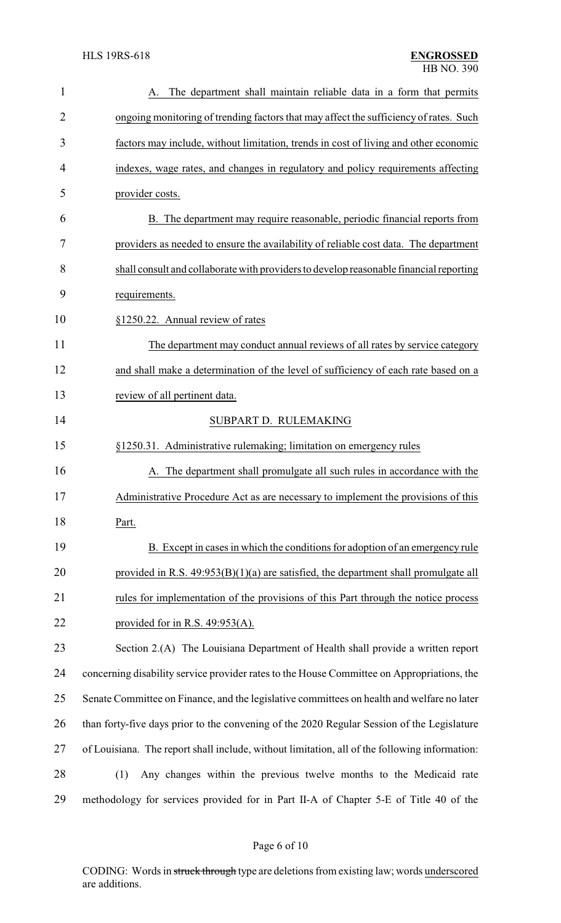| $\mathbf{1}$   | The department shall maintain reliable data in a form that permits                            |  |  |
|----------------|-----------------------------------------------------------------------------------------------|--|--|
| $\overline{2}$ | ongoing monitoring of trending factors that may affect the sufficiency of rates. Such         |  |  |
| 3              | factors may include, without limitation, trends in cost of living and other economic          |  |  |
| $\overline{4}$ | indexes, wage rates, and changes in regulatory and policy requirements affecting              |  |  |
| 5              | provider costs.                                                                               |  |  |
| 6              | B. The department may require reasonable, periodic financial reports from                     |  |  |
| 7              | providers as needed to ensure the availability of reliable cost data. The department          |  |  |
| 8              | shall consult and collaborate with providers to develop reasonable financial reporting        |  |  |
| 9              | requirements.                                                                                 |  |  |
| 10             | §1250.22. Annual review of rates                                                              |  |  |
| 11             | The department may conduct annual reviews of all rates by service category                    |  |  |
| 12             | and shall make a determination of the level of sufficiency of each rate based on a            |  |  |
| 13             | review of all pertinent data.                                                                 |  |  |
| 14             | SUBPART D. RULEMAKING                                                                         |  |  |
| 15             | §1250.31. Administrative rulemaking; limitation on emergency rules                            |  |  |
| 16             | The department shall promulgate all such rules in accordance with the                         |  |  |
| 17             | Administrative Procedure Act as are necessary to implement the provisions of this             |  |  |
| 18             | Part.                                                                                         |  |  |
| 19             | B. Except in cases in which the conditions for adoption of an emergency rule                  |  |  |
| 20             | provided in R.S. $49:953(B)(1)(a)$ are satisfied, the department shall promulgate all         |  |  |
| 21             | rules for implementation of the provisions of this Part through the notice process            |  |  |
| 22             | provided for in R.S. $49:953(A)$ .                                                            |  |  |
| 23             | Section 2.(A) The Louisiana Department of Health shall provide a written report               |  |  |
| 24             | concerning disability service provider rates to the House Committee on Appropriations, the    |  |  |
| 25             | Senate Committee on Finance, and the legislative committees on health and welfare no later    |  |  |
| 26             | than forty-five days prior to the convening of the 2020 Regular Session of the Legislature    |  |  |
| 27             | of Louisiana. The report shall include, without limitation, all of the following information: |  |  |
| 28             | Any changes within the previous twelve months to the Medicaid rate<br>(1)                     |  |  |
| 29             | methodology for services provided for in Part II-A of Chapter 5-E of Title 40 of the          |  |  |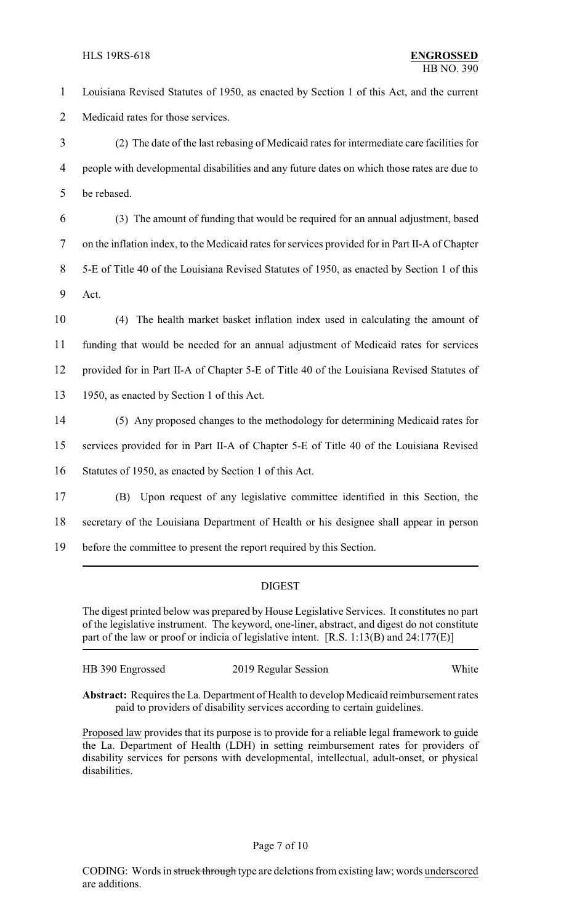1 Louisiana Revised Statutes of 1950, as enacted by Section 1 of this Act, and the current 2 Medicaid rates for those services.

3 (2) The date of the last rebasing of Medicaid rates for intermediate care facilities for 4 people with developmental disabilities and any future dates on which those rates are due to 5 be rebased.

 (3) The amount of funding that would be required for an annual adjustment, based on the inflation index, to the Medicaid rates for services provided for in Part II-A of Chapter 5-E of Title 40 of the Louisiana Revised Statutes of 1950, as enacted by Section 1 of this 9 Act.

 (4) The health market basket inflation index used in calculating the amount of funding that would be needed for an annual adjustment of Medicaid rates for services provided for in Part II-A of Chapter 5-E of Title 40 of the Louisiana Revised Statutes of 1950, as enacted by Section 1 of this Act.

14 (5) Any proposed changes to the methodology for determining Medicaid rates for

15 services provided for in Part II-A of Chapter 5-E of Title 40 of the Louisiana Revised

16 Statutes of 1950, as enacted by Section 1 of this Act.

17 (B) Upon request of any legislative committee identified in this Section, the

18 secretary of the Louisiana Department of Health or his designee shall appear in person

19 before the committee to present the report required by this Section.

## DIGEST

The digest printed below was prepared by House Legislative Services. It constitutes no part of the legislative instrument. The keyword, one-liner, abstract, and digest do not constitute part of the law or proof or indicia of legislative intent. [R.S. 1:13(B) and 24:177(E)]

| HB 390 Engrossed | 2019 Regular Session | White |
|------------------|----------------------|-------|
|------------------|----------------------|-------|

**Abstract:** Requires the La. Department of Health to develop Medicaid reimbursement rates paid to providers of disability services according to certain guidelines.

Proposed law provides that its purpose is to provide for a reliable legal framework to guide the La. Department of Health (LDH) in setting reimbursement rates for providers of disability services for persons with developmental, intellectual, adult-onset, or physical disabilities.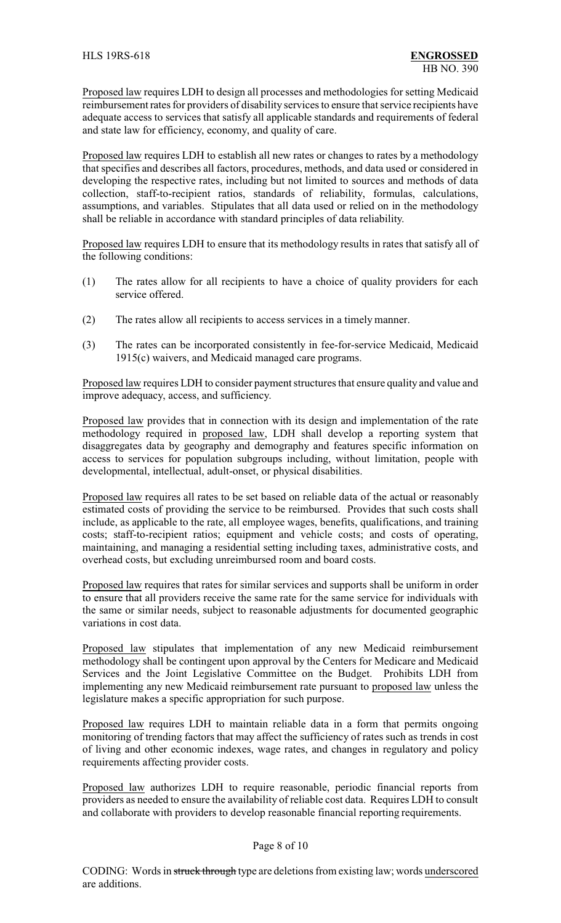Proposed law requires LDH to design all processes and methodologies for setting Medicaid reimbursement rates for providers of disability services to ensure that service recipients have adequate access to services that satisfy all applicable standards and requirements of federal and state law for efficiency, economy, and quality of care.

Proposed law requires LDH to establish all new rates or changes to rates by a methodology that specifies and describes all factors, procedures, methods, and data used or considered in developing the respective rates, including but not limited to sources and methods of data collection, staff-to-recipient ratios, standards of reliability, formulas, calculations, assumptions, and variables. Stipulates that all data used or relied on in the methodology shall be reliable in accordance with standard principles of data reliability.

Proposed law requires LDH to ensure that its methodology results in rates that satisfy all of the following conditions:

- (1) The rates allow for all recipients to have a choice of quality providers for each service offered.
- (2) The rates allow all recipients to access services in a timely manner.
- (3) The rates can be incorporated consistently in fee-for-service Medicaid, Medicaid 1915(c) waivers, and Medicaid managed care programs.

Proposed law requires LDH to consider payment structures that ensure quality and value and improve adequacy, access, and sufficiency.

Proposed law provides that in connection with its design and implementation of the rate methodology required in proposed law, LDH shall develop a reporting system that disaggregates data by geography and demography and features specific information on access to services for population subgroups including, without limitation, people with developmental, intellectual, adult-onset, or physical disabilities.

Proposed law requires all rates to be set based on reliable data of the actual or reasonably estimated costs of providing the service to be reimbursed. Provides that such costs shall include, as applicable to the rate, all employee wages, benefits, qualifications, and training costs; staff-to-recipient ratios; equipment and vehicle costs; and costs of operating, maintaining, and managing a residential setting including taxes, administrative costs, and overhead costs, but excluding unreimbursed room and board costs.

Proposed law requires that rates for similar services and supports shall be uniform in order to ensure that all providers receive the same rate for the same service for individuals with the same or similar needs, subject to reasonable adjustments for documented geographic variations in cost data.

Proposed law stipulates that implementation of any new Medicaid reimbursement methodology shall be contingent upon approval by the Centers for Medicare and Medicaid Services and the Joint Legislative Committee on the Budget. Prohibits LDH from implementing any new Medicaid reimbursement rate pursuant to proposed law unless the legislature makes a specific appropriation for such purpose.

Proposed law requires LDH to maintain reliable data in a form that permits ongoing monitoring of trending factors that may affect the sufficiency of rates such as trends in cost of living and other economic indexes, wage rates, and changes in regulatory and policy requirements affecting provider costs.

Proposed law authorizes LDH to require reasonable, periodic financial reports from providers as needed to ensure the availability of reliable cost data. Requires LDH to consult and collaborate with providers to develop reasonable financial reporting requirements.

#### Page 8 of 10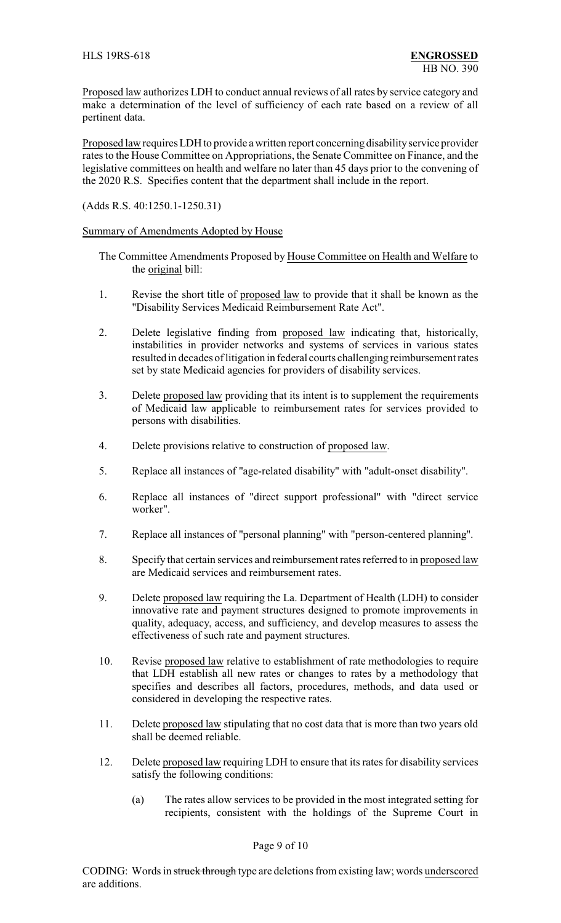Proposed law authorizes LDH to conduct annual reviews of all rates by service category and make a determination of the level of sufficiency of each rate based on a review of all pertinent data.

Proposed law requires LDH to provide a written report concerning disability service provider rates to the House Committee on Appropriations, the Senate Committee on Finance, and the legislative committees on health and welfare no later than 45 days prior to the convening of the 2020 R.S. Specifies content that the department shall include in the report.

(Adds R.S. 40:1250.1-1250.31)

### Summary of Amendments Adopted by House

The Committee Amendments Proposed by House Committee on Health and Welfare to the original bill:

- 1. Revise the short title of proposed law to provide that it shall be known as the "Disability Services Medicaid Reimbursement Rate Act".
- 2. Delete legislative finding from proposed law indicating that, historically, instabilities in provider networks and systems of services in various states resulted in decades of litigation in federal courts challenging reimbursement rates set by state Medicaid agencies for providers of disability services.
- 3. Delete proposed law providing that its intent is to supplement the requirements of Medicaid law applicable to reimbursement rates for services provided to persons with disabilities.
- 4. Delete provisions relative to construction of proposed law.
- 5. Replace all instances of "age-related disability" with "adult-onset disability".
- 6. Replace all instances of "direct support professional" with "direct service worker".
- 7. Replace all instances of "personal planning" with "person-centered planning".
- 8. Specify that certain services and reimbursement rates referred to in proposed law are Medicaid services and reimbursement rates.
- 9. Delete proposed law requiring the La. Department of Health (LDH) to consider innovative rate and payment structures designed to promote improvements in quality, adequacy, access, and sufficiency, and develop measures to assess the effectiveness of such rate and payment structures.
- 10. Revise proposed law relative to establishment of rate methodologies to require that LDH establish all new rates or changes to rates by a methodology that specifies and describes all factors, procedures, methods, and data used or considered in developing the respective rates.
- 11. Delete proposed law stipulating that no cost data that is more than two years old shall be deemed reliable.
- 12. Delete proposed law requiring LDH to ensure that its rates for disability services satisfy the following conditions:
	- (a) The rates allow services to be provided in the most integrated setting for recipients, consistent with the holdings of the Supreme Court in

#### Page 9 of 10